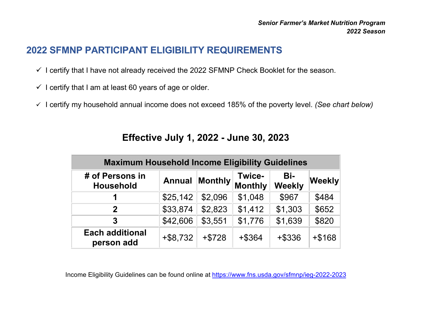## **2022 SFMNP PARTICIPANT ELIGIBILITY REQUIREMENTS**

- $\checkmark$  I certify that I have not already received the 2022 SFMNP Check Booklet for the season.
- $\checkmark$  I certify that I am at least 60 years of age or older.
- I certify my household annual income does not exceed 185% of the poverty level. *(See chart below)*

| <b>Maximum Household Income Eligibility Guidelines</b> |               |                |                          |                      |               |  |  |  |
|--------------------------------------------------------|---------------|----------------|--------------------------|----------------------|---------------|--|--|--|
| # of Persons in<br><b>Household</b>                    | <b>Annual</b> | <b>Monthly</b> | Twice-<br><b>Monthly</b> | Bi-<br><b>Weekly</b> | <b>Weekly</b> |  |  |  |
|                                                        | \$25,142      | \$2,096        | \$1,048                  | \$967                | \$484         |  |  |  |
| $\mathbf 2$                                            | \$33,874      | \$2,823        | \$1,412                  | \$1,303              | \$652         |  |  |  |
| 3                                                      | \$42,606      | \$3,551        | \$1,776                  | \$1,639              | \$820         |  |  |  |
| <b>Each additional</b><br>person add                   | $+$ \$8,732   | $+ $728$       | $+$ \$364                | +\$336               | $+ $168$      |  |  |  |

## **Effective July 1, 2022 - June 30, 2023**

Income Eligibility Guidelines can be found online at [https://www.fns.usda.gov/sfmnp/](https://www.fns.usda.gov/sfmnp/ieg-2022-2023)ieg-2022-2023